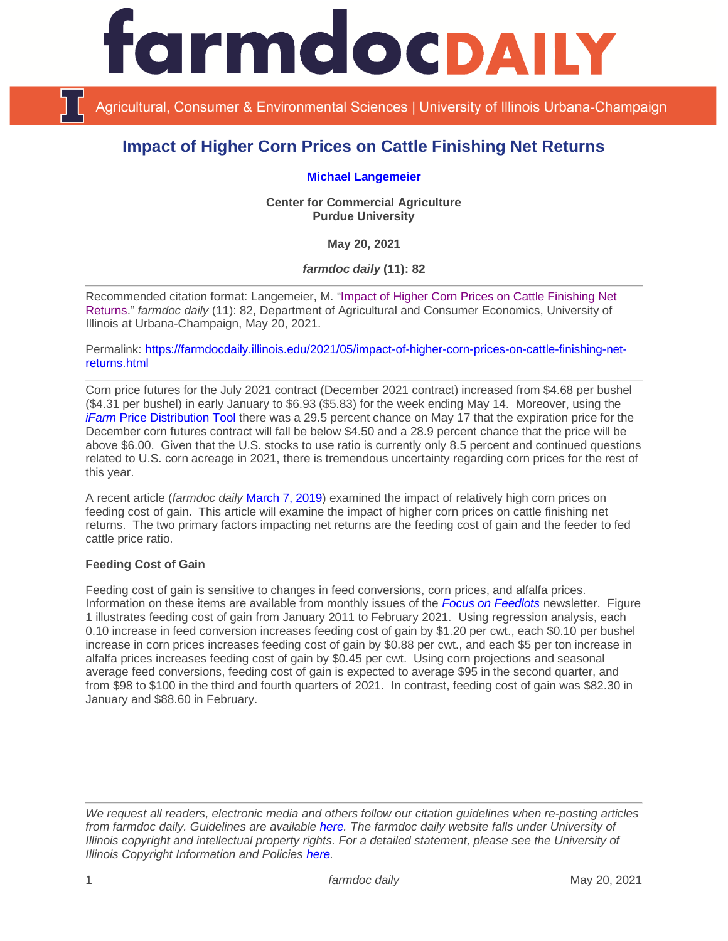

Agricultural, Consumer & Environmental Sciences | University of Illinois Urbana-Champaign

# **Impact of Higher Corn Prices on Cattle Finishing Net Returns**

#### **[Michael Langemeier](https://ag.purdue.edu/commercialag/Pages/Faculty-Staff/Langemeier.aspx)**

**Center for Commercial Agriculture Purdue University**

**May 20, 2021**

*farmdoc daily* **(11): 82**

Recommended citation format: Langemeier, M. ["Impact of Higher Corn Prices on Cattle Finishing Net](https://farmdocdaily.illinois.edu/2021/05/impact-of-higher-corn-prices-on-cattle-finishing-net-returns.html)  [Returns.](https://farmdocdaily.illinois.edu/2021/05/impact-of-higher-corn-prices-on-cattle-finishing-net-returns.html)" *farmdoc daily* (11): 82, Department of Agricultural and Consumer Economics, University of Illinois at Urbana-Champaign, May 20, 2021.

Permalink: [https://farmdocdaily.illinois.edu/2021/05/impact-of-higher-corn-prices-on-cattle-finishing-net](https://farmdocdaily.illinois.edu/2021/05/impact-of-higher-corn-prices-on-cattle-finishing-net-returns.html)[returns.html](https://farmdocdaily.illinois.edu/2021/05/impact-of-higher-corn-prices-on-cattle-finishing-net-returns.html)

Corn price futures for the July 2021 contract (December 2021 contract) increased from \$4.68 per bushel (\$4.31 per bushel) in early January to \$6.93 (\$5.83) for the week ending May 14. Moreover, using the *iFarm* [Price Distribution Tool](https://fd-tools.ncsa.illinois.edu/pricedistribution) there was a 29.5 percent chance on May 17 that the expiration price for the December corn futures contract will fall be below \$4.50 and a 28.9 percent chance that the price will be above \$6.00. Given that the U.S. stocks to use ratio is currently only 8.5 percent and continued questions related to U.S. corn acreage in 2021, there is tremendous uncertainty regarding corn prices for the rest of this year.

A recent article (*farmdoc daily* [March 7, 2019\)](https://farmdocdaily.illinois.edu/2019/03/factors-impacting-feeding-cost-of-gain-and-cattle-finishing-net-returns.html) examined the impact of relatively high corn prices on feeding cost of gain. This article will examine the impact of higher corn prices on cattle finishing net returns. The two primary factors impacting net returns are the feeding cost of gain and the feeder to fed cattle price ratio.

#### **Feeding Cost of Gain**

Feeding cost of gain is sensitive to changes in feed conversions, corn prices, and alfalfa prices. Information on these items are available from monthly issues of the *[Focus on Feedlots](http://www.asi.k-state.edu/about/newsletters/focus-on-feedlots/)* newsletter. Figure 1 illustrates feeding cost of gain from January 2011 to February 2021. Using regression analysis, each 0.10 increase in feed conversion increases feeding cost of gain by \$1.20 per cwt., each \$0.10 per bushel increase in corn prices increases feeding cost of gain by \$0.88 per cwt., and each \$5 per ton increase in alfalfa prices increases feeding cost of gain by \$0.45 per cwt. Using corn projections and seasonal average feed conversions, feeding cost of gain is expected to average \$95 in the second quarter, and from \$98 to \$100 in the third and fourth quarters of 2021. In contrast, feeding cost of gain was \$82.30 in January and \$88.60 in February.

*We request all readers, electronic media and others follow our citation guidelines when re-posting articles from farmdoc daily. Guidelines are available [here.](http://farmdocdaily.illinois.edu/citationguide.html) The farmdoc daily website falls under University of Illinois copyright and intellectual property rights. For a detailed statement, please see the University of Illinois Copyright Information and Policies [here.](http://www.cio.illinois.edu/policies/copyright/)*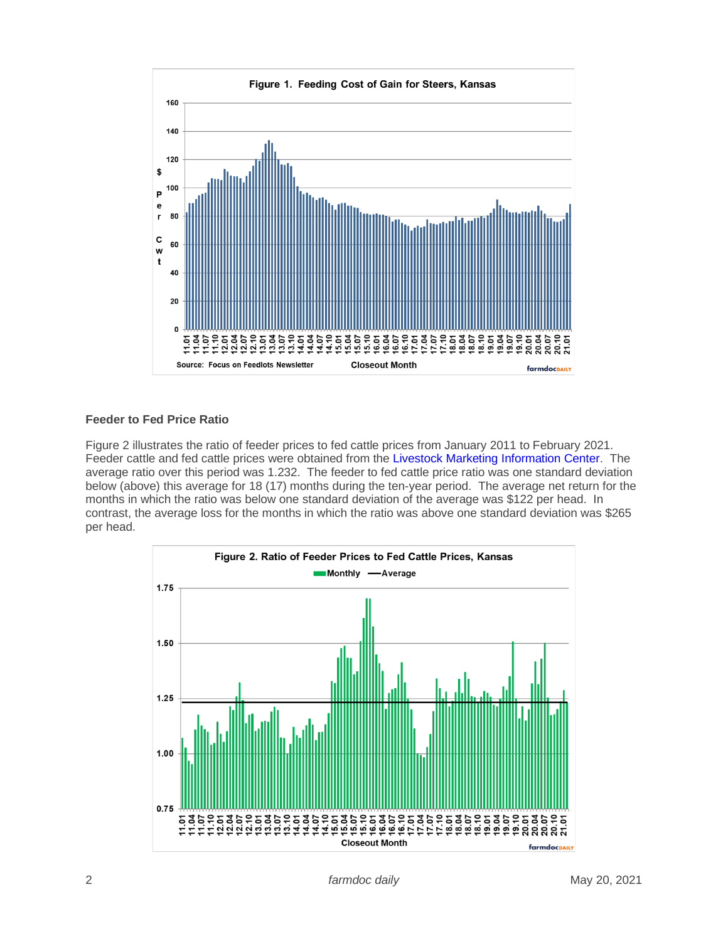

## **Feeder to Fed Price Ratio**

Figure 2 illustrates the ratio of feeder prices to fed cattle prices from January 2011 to February 2021. Feeder cattle and fed cattle prices were obtained from the [Livestock Marketing Information Center.](http://www.lmic.info/) The average ratio over this period was 1.232. The feeder to fed cattle price ratio was one standard deviation below (above) this average for 18 (17) months during the ten-year period. The average net return for the months in which the ratio was below one standard deviation of the average was \$122 per head. In contrast, the average loss for the months in which the ratio was above one standard deviation was \$265 per head.

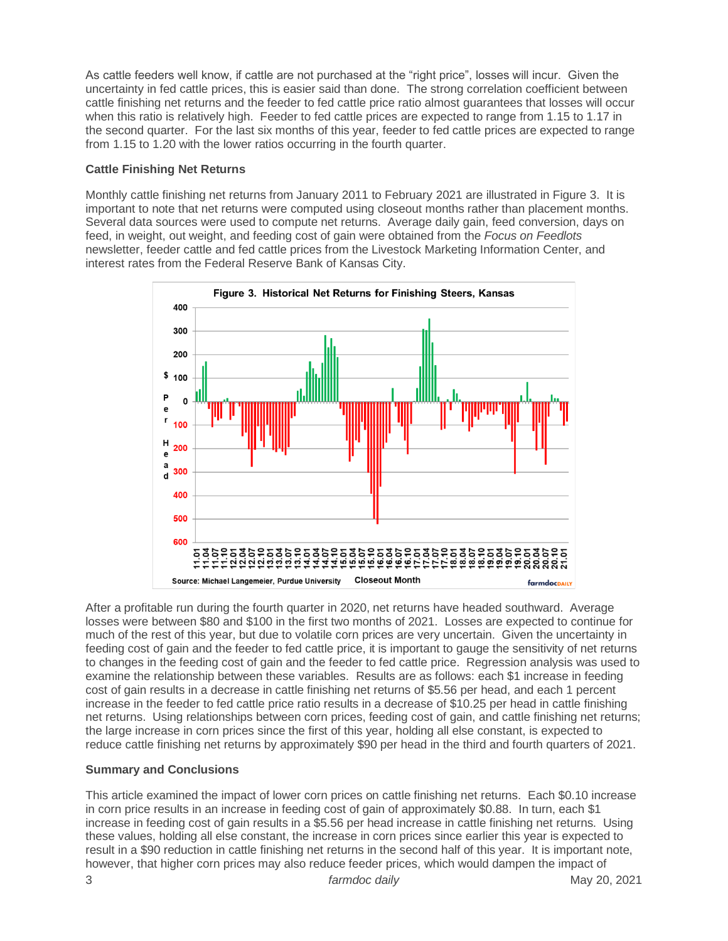As cattle feeders well know, if cattle are not purchased at the "right price", losses will incur. Given the uncertainty in fed cattle prices, this is easier said than done. The strong correlation coefficient between cattle finishing net returns and the feeder to fed cattle price ratio almost guarantees that losses will occur when this ratio is relatively high. Feeder to fed cattle prices are expected to range from 1.15 to 1.17 in the second quarter. For the last six months of this year, feeder to fed cattle prices are expected to range from 1.15 to 1.20 with the lower ratios occurring in the fourth quarter.

## **Cattle Finishing Net Returns**

Monthly cattle finishing net returns from January 2011 to February 2021 are illustrated in Figure 3. It is important to note that net returns were computed using closeout months rather than placement months. Several data sources were used to compute net returns. Average daily gain, feed conversion, days on feed, in weight, out weight, and feeding cost of gain were obtained from the *Focus on Feedlots*  newsletter, feeder cattle and fed cattle prices from the Livestock Marketing Information Center, and interest rates from the Federal Reserve Bank of Kansas City.



After a profitable run during the fourth quarter in 2020, net returns have headed southward. Average losses were between \$80 and \$100 in the first two months of 2021. Losses are expected to continue for much of the rest of this year, but due to volatile corn prices are very uncertain. Given the uncertainty in feeding cost of gain and the feeder to fed cattle price, it is important to gauge the sensitivity of net returns to changes in the feeding cost of gain and the feeder to fed cattle price. Regression analysis was used to examine the relationship between these variables. Results are as follows: each \$1 increase in feeding cost of gain results in a decrease in cattle finishing net returns of \$5.56 per head, and each 1 percent increase in the feeder to fed cattle price ratio results in a decrease of \$10.25 per head in cattle finishing net returns. Using relationships between corn prices, feeding cost of gain, and cattle finishing net returns; the large increase in corn prices since the first of this year, holding all else constant, is expected to reduce cattle finishing net returns by approximately \$90 per head in the third and fourth quarters of 2021.

## **Summary and Conclusions**

This article examined the impact of lower corn prices on cattle finishing net returns. Each \$0.10 increase in corn price results in an increase in feeding cost of gain of approximately \$0.88. In turn, each \$1 increase in feeding cost of gain results in a \$5.56 per head increase in cattle finishing net returns. Using these values, holding all else constant, the increase in corn prices since earlier this year is expected to result in a \$90 reduction in cattle finishing net returns in the second half of this year. It is important note, however, that higher corn prices may also reduce feeder prices, which would dampen the impact of